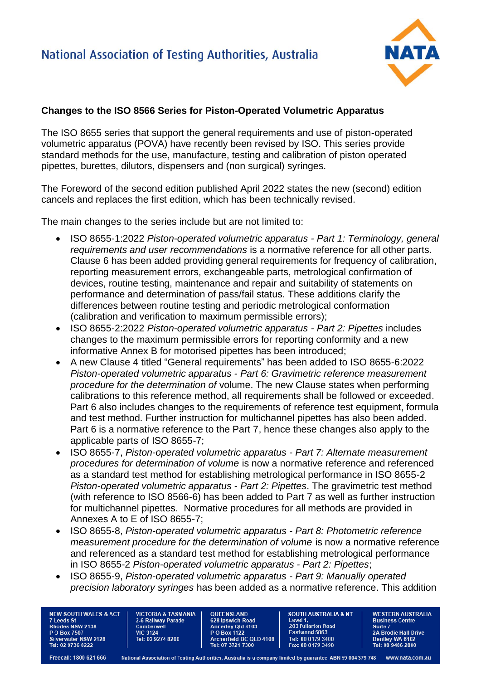

## **Changes to the ISO 8566 Series for Piston-Operated Volumetric Apparatus**

The ISO 8655 series that support the general requirements and use of piston-operated volumetric apparatus (POVA) have recently been revised by ISO. This series provide standard methods for the use, manufacture, testing and calibration of piston operated pipettes, burettes, dilutors, dispensers and (non surgical) syringes.

The Foreword of the second edition published April 2022 states the new (second) edition cancels and replaces the first edition, which has been technically revised.

The main changes to the series include but are not limited to:

- ISO 8655-1:2022 *Piston-operated volumetric apparatus - Part 1: Terminology, general requirements and user recommendations* is a normative reference for all other parts. Clause 6 has been added providing general requirements for frequency of calibration, reporting measurement errors, exchangeable parts, metrological confirmation of devices, routine testing, maintenance and repair and suitability of statements on performance and determination of pass/fail status. These additions clarify the differences between routine testing and periodic metrological conformation (calibration and verification to maximum permissible errors);
- ISO 8655-2:2022 *Piston-operated volumetric apparatus - Part 2: Pipettes* includes changes to the maximum permissible errors for reporting conformity and a new informative Annex B for motorised pipettes has been introduced;
- A new Clause 4 titled "General requirements" has been added to ISO 8655-6:2022 *Piston-operated volumetric apparatus - Part 6: Gravimetric reference measurement procedure for the determination of* volume. The new Clause states when performing calibrations to this reference method, all requirements shall be followed or exceeded. Part 6 also includes changes to the requirements of reference test equipment, formula and test method. Further instruction for multichannel pipettes has also been added. Part 6 is a normative reference to the Part 7, hence these changes also apply to the applicable parts of ISO 8655-7;
- ISO 8655-7, *Piston-operated volumetric apparatus - Part 7: Alternate measurement procedures for determination of volume* is now a normative reference and referenced as a standard test method for establishing metrological performance in ISO 8655-2 *Piston-operated volumetric apparatus - Part 2: Pipettes*. The gravimetric test method (with reference to ISO 8566-6) has been added to Part 7 as well as further instruction for multichannel pipettes. Normative procedures for all methods are provided in Annexes A to E of ISO 8655-7;
- ISO 8655-8, *Piston-operated volumetric apparatus - Part 8: Photometric reference measurement procedure for the determination of volume* is now a normative reference and referenced as a standard test method for establishing metrological performance in ISO 8655-2 *Piston-operated volumetric apparatus - Part 2: Pipettes*;
- ISO 8655-9, *Piston-operated volumetric apparatus - Part 9: Manually operated precision laboratory syringes* has been added as a normative reference. This addition

**NEW SOUTH WALES & ACT** 7 Leeds St<br>Rhodes NSW 2138 **PO Box 7507** Silverwater NSW 2128 Tel: 02 9736 8222

**VICTORIA & TASMANIA** 2-6 Railway Parade Camberwell **VIC 3124** Tel: 03 9274 8200

**OUFFNSI AND** 628 Ipswich Road Annerley Qld 4103 Archerfield BC QLD 4108 Tel: 07 3721 7300

**SOUTH AUSTRALIA & NT** I evel 1 203 Fullarton Road Eastwood 5063 Tel: 08 8179 3400 Fax: 08 8179 3498

**WESTERN AUSTRALIA Business Centre** Suite 7 **2A Brodie Hall Drive Bentley WA 6102**<br>Tel: 08 9486 2800

Freecall: 1800 621 666

National Association of Testing Authorities, Australia is a company limited by guarantee ABN 59 004 379 748 www.nata.com.au